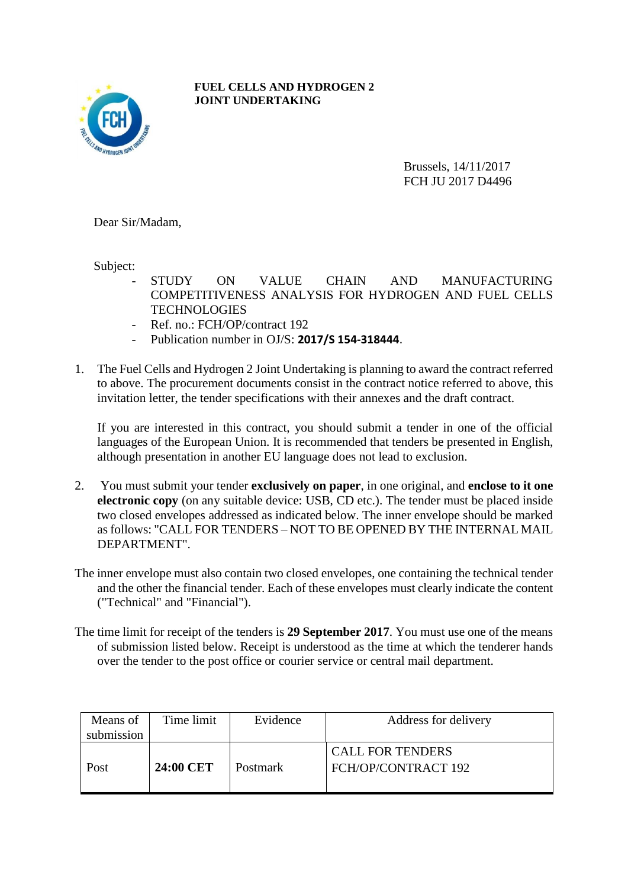

**FUEL CELLS AND HYDROGEN 2 JOINT UNDERTAKING**

> Brussels, 14/11/2017 FCH JU 2017 D4496

Dear Sir/Madam,

Subject:

- STUDY ON VALUE CHAIN AND MANUFACTURING COMPETITIVENESS ANALYSIS FOR HYDROGEN AND FUEL CELLS **TECHNOLOGIES**
- Ref. no.: FCH/OP/contract 192
- Publication number in OJ/S: **2017/S 154-318444**.
- 1. The Fuel Cells and Hydrogen 2 Joint Undertaking is planning to award the contract referred to above. The procurement documents consist in the contract notice referred to above, this invitation letter, the tender specifications with their annexes and the draft contract.

If you are interested in this contract, you should submit a tender in one of the official languages of the European Union. It is recommended that tenders be presented in English, although presentation in another EU language does not lead to exclusion.

- 2. You must submit your tender **exclusively on paper**, in one original, and **enclose to it one electronic copy** (on any suitable device: USB, CD etc.). The tender must be placed inside two closed envelopes addressed as indicated below. The inner envelope should be marked as follows: "CALL FOR TENDERS – NOT TO BE OPENED BY THE INTERNAL MAIL DEPARTMENT".
- The inner envelope must also contain two closed envelopes, one containing the technical tender and the other the financial tender. Each of these envelopes must clearly indicate the content ("Technical" and "Financial").
- The time limit for receipt of the tenders is **29 September 2017**. You must use one of the means of submission listed below. Receipt is understood as the time at which the tenderer hands over the tender to the post office or courier service or central mail department.

| Means of   | Time limit | Evidence        | Address for delivery                           |
|------------|------------|-----------------|------------------------------------------------|
| submission |            |                 |                                                |
| Post       | 24:00 CET  | <b>Postmark</b> | <b>CALL FOR TENDERS</b><br>FCH/OP/CONTRACT 192 |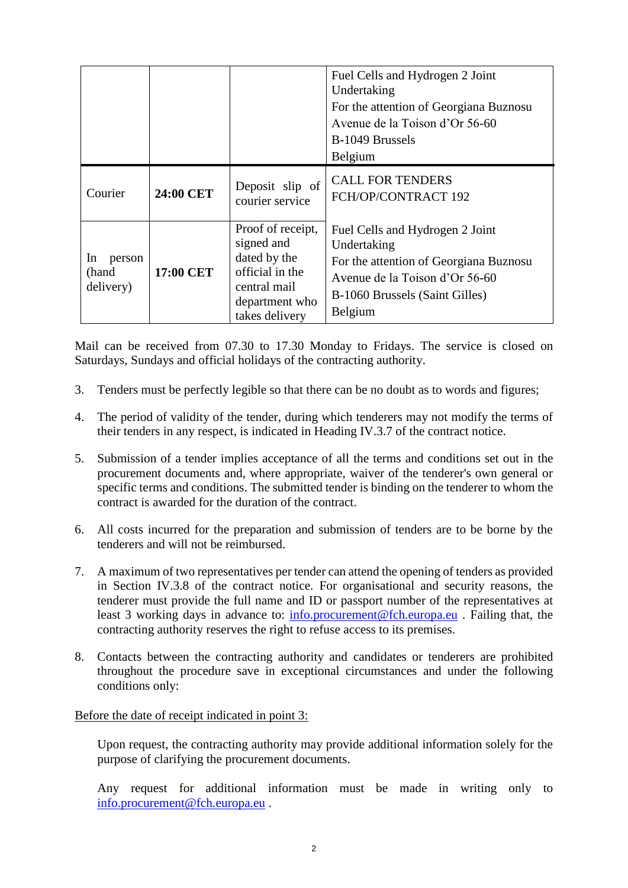|                                    |           |                                                                                                                        | Fuel Cells and Hydrogen 2 Joint<br>Undertaking<br>For the attention of Georgiana Buznosu<br>Avenue de la Toison d'Or 56-60<br>B-1049 Brussels<br>Belgium                |
|------------------------------------|-----------|------------------------------------------------------------------------------------------------------------------------|-------------------------------------------------------------------------------------------------------------------------------------------------------------------------|
| Courier                            | 24:00 CET | Deposit slip of<br>courier service                                                                                     | <b>CALL FOR TENDERS</b><br>FCH/OP/CONTRACT 192                                                                                                                          |
| In<br>person<br>(hand<br>delivery) | 17:00 CET | Proof of receipt,<br>signed and<br>dated by the<br>official in the<br>central mail<br>department who<br>takes delivery | Fuel Cells and Hydrogen 2 Joint<br>Undertaking<br>For the attention of Georgiana Buznosu<br>Avenue de la Toison d'Or 56-60<br>B-1060 Brussels (Saint Gilles)<br>Belgium |

Mail can be received from 07.30 to 17.30 Monday to Fridays. The service is closed on Saturdays, Sundays and official holidays of the contracting authority.

- 3. Tenders must be perfectly legible so that there can be no doubt as to words and figures;
- 4. The period of validity of the tender, during which tenderers may not modify the terms of their tenders in any respect, is indicated in Heading IV.3.7 of the contract notice.
- 5. Submission of a tender implies acceptance of all the terms and conditions set out in the procurement documents and, where appropriate, waiver of the tenderer's own general or specific terms and conditions. The submitted tender is binding on the tenderer to whom the contract is awarded for the duration of the contract.
- 6. All costs incurred for the preparation and submission of tenders are to be borne by the tenderers and will not be reimbursed.
- 7. A maximum of two representatives per tender can attend the opening of tenders as provided in Section IV.3.8 of the contract notice. For organisational and security reasons, the tenderer must provide the full name and ID or passport number of the representatives at least 3 working days in advance to: [info.procurement@fch.europa.eu](mailto:info.procurement@fch.europa.eu) . Failing that, the contracting authority reserves the right to refuse access to its premises.
- 8. Contacts between the contracting authority and candidates or tenderers are prohibited throughout the procedure save in exceptional circumstances and under the following conditions only:

Before the date of receipt indicated in point 3:

Upon request, the contracting authority may provide additional information solely for the purpose of clarifying the procurement documents.

Any request for additional information must be made in writing only to [info.procurement@fch.europa.eu](mailto:info.procurement@fch.europa.eu) .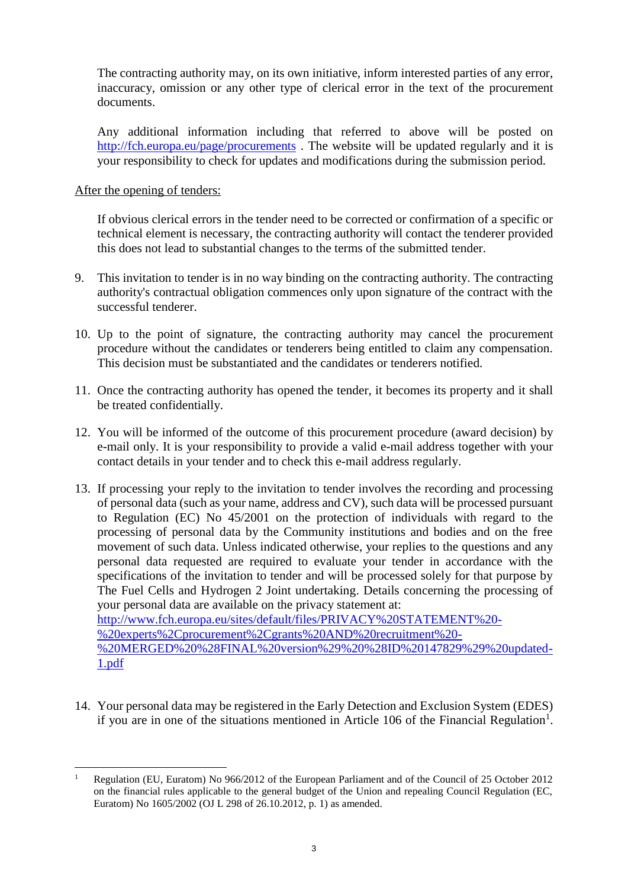The contracting authority may, on its own initiative, inform interested parties of any error, inaccuracy, omission or any other type of clerical error in the text of the procurement documents.

Any additional information including that referred to above will be posted on <http://fch.europa.eu/page/procurements>. The website will be updated regularly and it is your responsibility to check for updates and modifications during the submission period.

## After the opening of tenders:

If obvious clerical errors in the tender need to be corrected or confirmation of a specific or technical element is necessary, the contracting authority will contact the tenderer provided this does not lead to substantial changes to the terms of the submitted tender.

- 9. This invitation to tender is in no way binding on the contracting authority. The contracting authority's contractual obligation commences only upon signature of the contract with the successful tenderer.
- 10. Up to the point of signature, the contracting authority may cancel the procurement procedure without the candidates or tenderers being entitled to claim any compensation. This decision must be substantiated and the candidates or tenderers notified.
- 11. Once the contracting authority has opened the tender, it becomes its property and it shall be treated confidentially.
- 12. You will be informed of the outcome of this procurement procedure (award decision) by e-mail only. It is your responsibility to provide a valid e-mail address together with your contact details in your tender and to check this e-mail address regularly.
- 13. If processing your reply to the invitation to tender involves the recording and processing of personal data (such as your name, address and CV), such data will be processed pursuant to Regulation (EC) No 45/2001 on the protection of individuals with regard to the processing of personal data by the Community institutions and bodies and on the free movement of such data. Unless indicated otherwise, your replies to the questions and any personal data requested are required to evaluate your tender in accordance with the specifications of the invitation to tender and will be processed solely for that purpose by The Fuel Cells and Hydrogen 2 Joint undertaking. Details concerning the processing of your personal data are available on the privacy statement at: [http://www.fch.europa.eu/sites/default/files/PRIVACY%20STATEMENT%20-](http://www.fch.europa.eu/sites/default/files/PRIVACY%20STATEMENT%20-%20experts%2Cprocurement%2Cgrants%20AND%20recruitment%20-%20MERGED%20%28FINAL%20version%29%20%28ID%20147829%29%20updated-1.pdf) [%20experts%2Cprocurement%2Cgrants%20AND%20recruitment%20-](http://www.fch.europa.eu/sites/default/files/PRIVACY%20STATEMENT%20-%20experts%2Cprocurement%2Cgrants%20AND%20recruitment%20-%20MERGED%20%28FINAL%20version%29%20%28ID%20147829%29%20updated-1.pdf)

[%20MERGED%20%28FINAL%20version%29%20%28ID%20147829%29%20updated-](http://www.fch.europa.eu/sites/default/files/PRIVACY%20STATEMENT%20-%20experts%2Cprocurement%2Cgrants%20AND%20recruitment%20-%20MERGED%20%28FINAL%20version%29%20%28ID%20147829%29%20updated-1.pdf)[1.pdf](http://www.fch.europa.eu/sites/default/files/PRIVACY%20STATEMENT%20-%20experts%2Cprocurement%2Cgrants%20AND%20recruitment%20-%20MERGED%20%28FINAL%20version%29%20%28ID%20147829%29%20updated-1.pdf)

14. Your personal data may be registered in the Early Detection and Exclusion System (EDES) if you are in one of the situations mentioned in Article 106 of the Financial Regulation<sup>1</sup>.

 $\overline{a}$ <sup>1</sup> Regulation (EU, Euratom) No 966/2012 of the European Parliament and of the Council of 25 October 2012 on the financial rules applicable to the general budget of the Union and repealing Council Regulation (EC, Euratom) No 1605/2002 (OJ L 298 of 26.10.2012, p. 1) as amended.